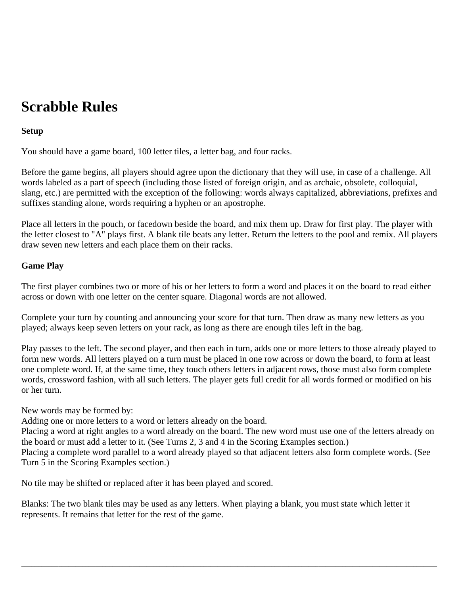# **Scrabble Rules**

## **Setup**

You should have a game board, 100 letter tiles, a letter bag, and four racks.

Before the game begins, all players should agree upon the dictionary that they will use, in case of a challenge. All words labeled as a part of speech (including those listed of foreign origin, and as archaic, obsolete, colloquial, slang, etc.) are permitted with the exception of the following: words always capitalized, abbreviations, prefixes and suffixes standing alone, words requiring a hyphen or an apostrophe.

Place all letters in the pouch, or facedown beside the board, and mix them up. Draw for first play. The player with the letter closest to "A" plays first. A blank tile beats any letter. Return the letters to the pool and remix. All players draw seven new letters and each place them on their racks.

#### **Game Play**

The first player combines two or more of his or her letters to form a word and places it on the board to read either across or down with one letter on the center square. Diagonal words are not allowed.

Complete your turn by counting and announcing your score for that turn. Then draw as many new letters as you played; always keep seven letters on your rack, as long as there are enough tiles left in the bag.

Play passes to the left. The second player, and then each in turn, adds one or more letters to those already played to form new words. All letters played on a turn must be placed in one row across or down the board, to form at least one complete word. If, at the same time, they touch others letters in adjacent rows, those must also form complete words, crossword fashion, with all such letters. The player gets full credit for all words formed or modified on his or her turn.

#### New words may be formed by:

Adding one or more letters to a word or letters already on the board.

Placing a word at right angles to a word already on the board. The new word must use one of the letters already on the board or must add a letter to it. (See Turns 2, 3 and 4 in the Scoring Examples section.)

Placing a complete word parallel to a word already played so that adjacent letters also form complete words. (See Turn 5 in the Scoring Examples section.)

 $\bot$  , and the set of the set of the set of the set of the set of the set of the set of the set of the set of the set of the set of the set of the set of the set of the set of the set of the set of the set of the set of t

No tile may be shifted or replaced after it has been played and scored.

Blanks: The two blank tiles may be used as any letters. When playing a blank, you must state which letter it represents. It remains that letter for the rest of the game.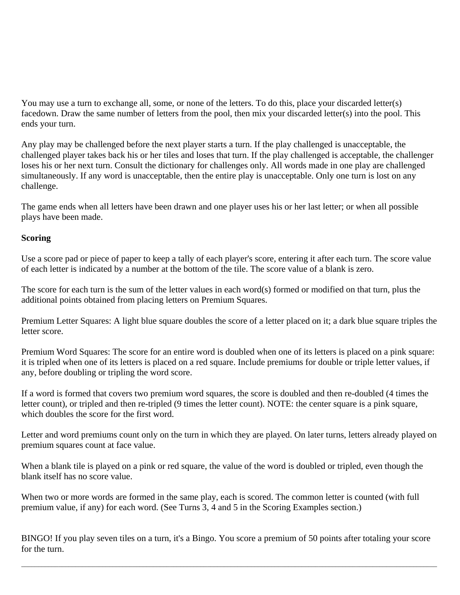You may use a turn to exchange all, some, or none of the letters. To do this, place your discarded letter(s) facedown. Draw the same number of letters from the pool, then mix your discarded letter(s) into the pool. This ends your turn.

Any play may be challenged before the next player starts a turn. If the play challenged is unacceptable, the challenged player takes back his or her tiles and loses that turn. If the play challenged is acceptable, the challenger loses his or her next turn. Consult the dictionary for challenges only. All words made in one play are challenged simultaneously. If any word is unacceptable, then the entire play is unacceptable. Only one turn is lost on any challenge.

The game ends when all letters have been drawn and one player uses his or her last letter; or when all possible plays have been made.

#### **Scoring**

Use a score pad or piece of paper to keep a tally of each player's score, entering it after each turn. The score value of each letter is indicated by a number at the bottom of the tile. The score value of a blank is zero.

The score for each turn is the sum of the letter values in each word(s) formed or modified on that turn, plus the additional points obtained from placing letters on Premium Squares.

Premium Letter Squares: A light blue square doubles the score of a letter placed on it; a dark blue square triples the letter score.

Premium Word Squares: The score for an entire word is doubled when one of its letters is placed on a pink square: it is tripled when one of its letters is placed on a red square. Include premiums for double or triple letter values, if any, before doubling or tripling the word score.

If a word is formed that covers two premium word squares, the score is doubled and then re-doubled (4 times the letter count), or tripled and then re-tripled (9 times the letter count). NOTE: the center square is a pink square, which doubles the score for the first word.

Letter and word premiums count only on the turn in which they are played. On later turns, letters already played on premium squares count at face value.

When a blank tile is played on a pink or red square, the value of the word is doubled or tripled, even though the blank itself has no score value.

When two or more words are formed in the same play, each is scored. The common letter is counted (with full premium value, if any) for each word. (See Turns 3, 4 and 5 in the Scoring Examples section.)

BINGO! If you play seven tiles on a turn, it's a Bingo. You score a premium of 50 points after totaling your score for the turn.

 $\bot$  , and the set of the set of the set of the set of the set of the set of the set of the set of the set of the set of the set of the set of the set of the set of the set of the set of the set of the set of the set of t